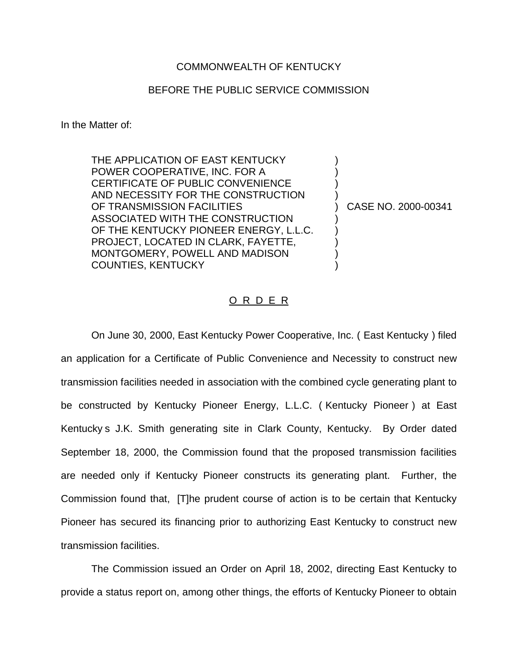## COMMONWEALTH OF KENTUCKY

## BEFORE THE PUBLIC SERVICE COMMISSION

In the Matter of:

THE APPLICATION OF EAST KENTUCKY POWER COOPERATIVE, INC. FOR A ) CERTIFICATE OF PUBLIC CONVENIENCE AND NECESSITY FOR THE CONSTRUCTION OF TRANSMISSION FACILITIES ) CASE NO. 2000-00341 ASSOCIATED WITH THE CONSTRUCTION ) OF THE KENTUCKY PIONEER ENERGY, L.L.C. PROJECT, LOCATED IN CLARK, FAYETTE, MONTGOMERY, POWELL AND MADISON ) COUNTIES, KENTUCKY )

## O R D E R

On June 30, 2000, East Kentucky Power Cooperative, Inc. ( East Kentucky ) filed an application for a Certificate of Public Convenience and Necessity to construct new transmission facilities needed in association with the combined cycle generating plant to be constructed by Kentucky Pioneer Energy, L.L.C. ( Kentucky Pioneer ) at East Kentucky s J.K. Smith generating site in Clark County, Kentucky. By Order dated September 18, 2000, the Commission found that the proposed transmission facilities are needed only if Kentucky Pioneer constructs its generating plant. Further, the Commission found that, [T]he prudent course of action is to be certain that Kentucky Pioneer has secured its financing prior to authorizing East Kentucky to construct new transmission facilities.

The Commission issued an Order on April 18, 2002, directing East Kentucky to provide a status report on, among other things, the efforts of Kentucky Pioneer to obtain